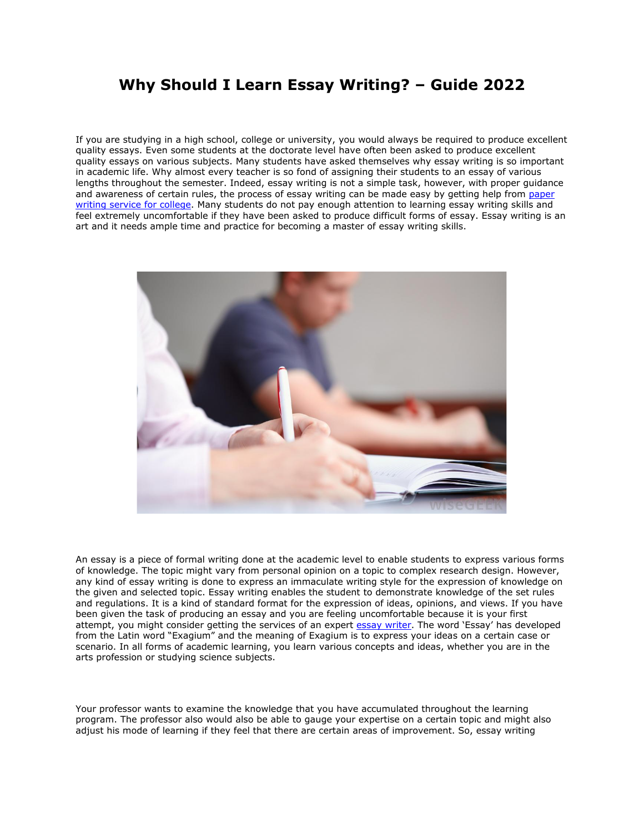## **Why Should I Learn Essay Writing? – Guide 2022**

If you are studying in a high school, college or university, you would always be required to produce excellent quality essays. Even some students at the doctorate level have often been asked to produce excellent quality essays on various subjects. Many students have asked themselves why essay writing is so important in academic life. Why almost every teacher is so fond of assigning their students to an essay of various lengths throughout the semester. Indeed, essay writing is not a simple task, however, with proper guidance and awareness of certain rules, the process of essay writing can be made easy by getting help from [paper](https://essayhours.com/)  [writing service for college.](https://essayhours.com/) Many students do not pay enough attention to learning essay writing skills and feel extremely uncomfortable if they have been asked to produce difficult forms of essay. Essay writing is an art and it needs ample time and practice for becoming a master of essay writing skills.



An essay is a piece of formal writing done at the academic level to enable students to express various forms of knowledge. The topic might vary from personal opinion on a topic to complex research design. However, any kind of essay writing is done to express an immaculate writing style for the expression of knowledge on the given and selected topic. Essay writing enables the student to demonstrate knowledge of the set rules and regulations. It is a kind of standard format for the expression of ideas, opinions, and views. If you have been given the task of producing an essay and you are feeling uncomfortable because it is your first attempt, you might consider getting the services of an expert [essay writer](https://www.essaywritingservice.college/). The word 'Essay' has developed from the Latin word "Exagium" and the meaning of Exagium is to express your ideas on a certain case or scenario. In all forms of academic learning, you learn various concepts and ideas, whether you are in the arts profession or studying science subjects.

Your professor wants to examine the knowledge that you have accumulated throughout the learning program. The professor also would also be able to gauge your expertise on a certain topic and might also adjust his mode of learning if they feel that there are certain areas of improvement. So, essay writing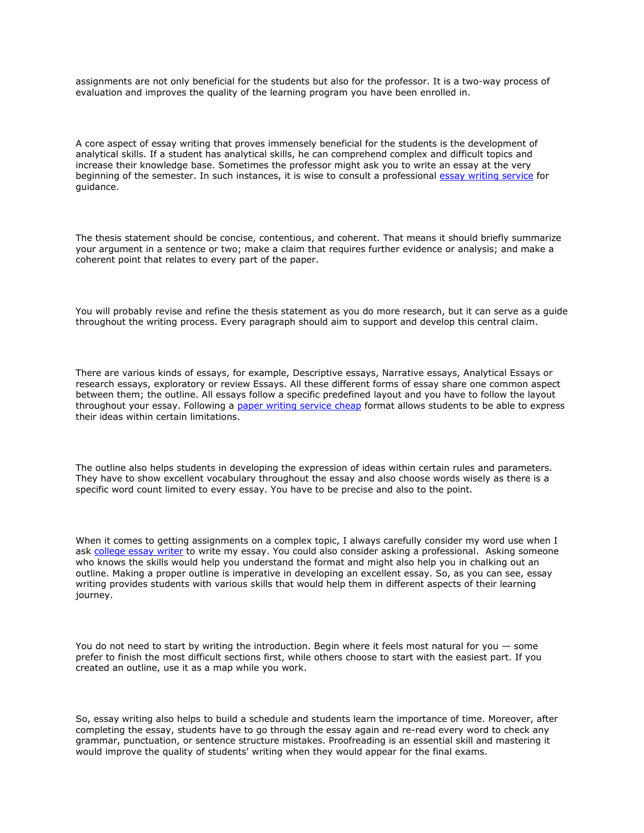assignments are not only beneficial for the students but also for the professor. It is a two-way process of evaluation and improves the quality of the learning program you have been enrolled in.

A core aspect of essay writing that proves immensely beneficial for the students is the development of analytical skills. If a student has analytical skills, he can comprehend complex and difficult topics and increase their knowledge base. Sometimes the professor might ask you to write an essay at the very beginning of the semester. In such instances, it is wise to consult a professional [essay writing service](https://www.collegeessay.org/) for guidance.

The thesis statement should be concise, contentious, and coherent. That means it should briefly summarize your argument in a sentence or two; make a claim that requires further evidence or analysis; and make a coherent point that relates to every part of the paper.

You will probably revise and refine the thesis statement as you do more research, but it can serve as a guide throughout the writing process. Every paragraph should aim to support and develop this central claim.

There are various kinds of essays, for example, Descriptive essays, Narrative essays, Analytical Essays or research essays, exploratory or review Essays. All these different forms of essay share one common aspect between them; the outline. All essays follow a specific predefined layout and you have to follow the layout throughout your essay. Following a [paper writing service cheap](https://essayhours.com/) format allows students to be able to express their ideas within certain limitations.

The outline also helps students in developing the expression of ideas within certain rules and parameters. They have to show excellent vocabulary throughout the essay and also choose words wisely as there is a specific word count limited to every essay. You have to be precise and also to the point.

When it comes to getting assignments on a complex topic, I always carefully consider my word use when I ask [college essay writer](https://www.writemyessay.help/) to write my essay. You could also consider asking a professional. Asking someone who knows the skills would help you understand the format and might also help you in chalking out an outline. Making a proper outline is imperative in developing an excellent essay. So, as you can see, essay writing provides students with various skills that would help them in different aspects of their learning journey.

You do not need to start by writing the introduction. Begin where it feels most natural for you — some prefer to finish the most difficult sections first, while others choose to start with the easiest part. If you created an outline, use it as a map while you work.

So, essay writing also helps to build a schedule and students learn the importance of time. Moreover, after completing the essay, students have to go through the essay again and re-read every word to check any grammar, punctuation, or sentence structure mistakes. Proofreading is an essential skill and mastering it would improve the quality of students' writing when they would appear for the final exams.